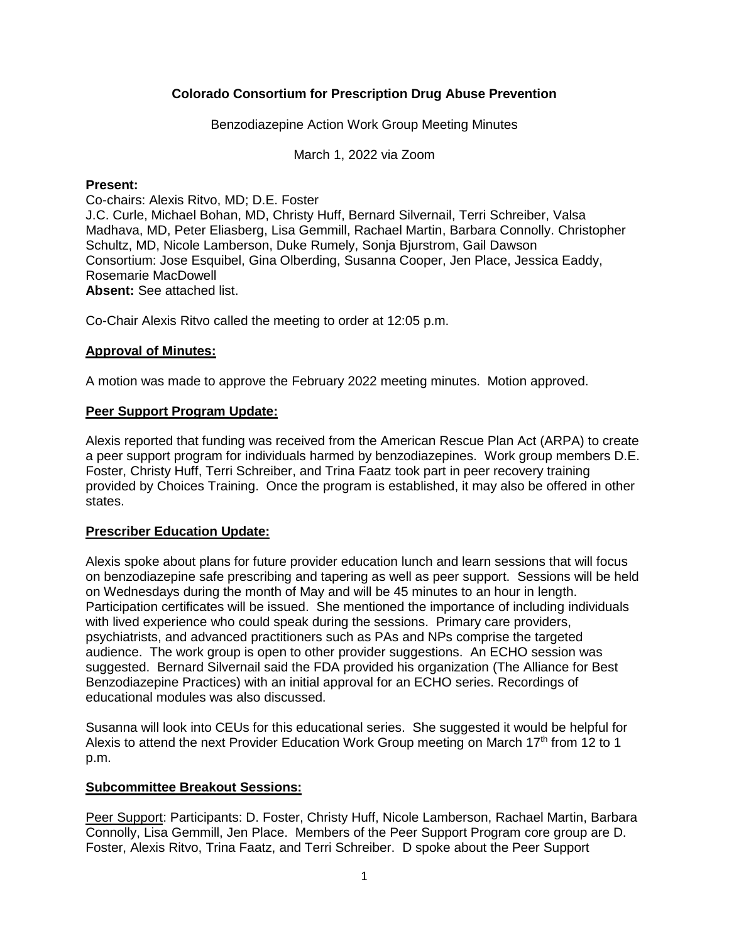# **Colorado Consortium for Prescription Drug Abuse Prevention**

Benzodiazepine Action Work Group Meeting Minutes

March 1, 2022 via Zoom

#### **Present:**

Co-chairs: Alexis Ritvo, MD; D.E. Foster J.C. Curle, Michael Bohan, MD, Christy Huff, Bernard Silvernail, Terri Schreiber, Valsa Madhava, MD, Peter Eliasberg, Lisa Gemmill, Rachael Martin, Barbara Connolly. Christopher Schultz, MD, Nicole Lamberson, Duke Rumely, Sonja Bjurstrom, Gail Dawson Consortium: Jose Esquibel, Gina Olberding, Susanna Cooper, Jen Place, Jessica Eaddy, Rosemarie MacDowell **Absent:** See attached list.

Co-Chair Alexis Ritvo called the meeting to order at 12:05 p.m.

# **Approval of Minutes:**

A motion was made to approve the February 2022 meeting minutes. Motion approved.

#### **Peer Support Program Update:**

Alexis reported that funding was received from the American Rescue Plan Act (ARPA) to create a peer support program for individuals harmed by benzodiazepines. Work group members D.E. Foster, Christy Huff, Terri Schreiber, and Trina Faatz took part in peer recovery training provided by Choices Training. Once the program is established, it may also be offered in other states.

# **Prescriber Education Update:**

Alexis spoke about plans for future provider education lunch and learn sessions that will focus on benzodiazepine safe prescribing and tapering as well as peer support. Sessions will be held on Wednesdays during the month of May and will be 45 minutes to an hour in length. Participation certificates will be issued. She mentioned the importance of including individuals with lived experience who could speak during the sessions. Primary care providers, psychiatrists, and advanced practitioners such as PAs and NPs comprise the targeted audience. The work group is open to other provider suggestions. An ECHO session was suggested. Bernard Silvernail said the FDA provided his organization (The Alliance for Best Benzodiazepine Practices) with an initial approval for an ECHO series. Recordings of educational modules was also discussed.

Susanna will look into CEUs for this educational series. She suggested it would be helpful for Alexis to attend the next Provider Education Work Group meeting on March 17<sup>th</sup> from 12 to 1 p.m.

#### **Subcommittee Breakout Sessions:**

Peer Support: Participants: D. Foster, Christy Huff, Nicole Lamberson, Rachael Martin, Barbara Connolly, Lisa Gemmill, Jen Place. Members of the Peer Support Program core group are D. Foster, Alexis Ritvo, Trina Faatz, and Terri Schreiber. D spoke about the Peer Support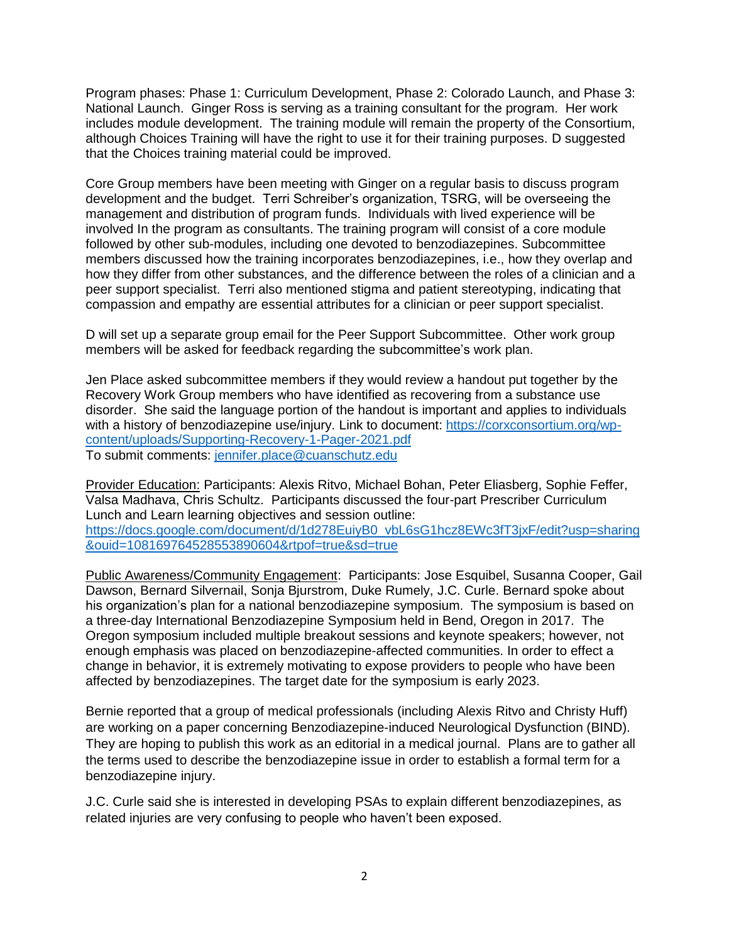Program phases: Phase 1: Curriculum Development, Phase 2: Colorado Launch, and Phase 3: National Launch. Ginger Ross is serving as a training consultant for the program. Her work includes module development. The training module will remain the property of the Consortium, although Choices Training will have the right to use it for their training purposes. D suggested that the Choices training material could be improved.

Core Group members have been meeting with Ginger on a regular basis to discuss program development and the budget. Terri Schreiber's organization, TSRG, will be overseeing the management and distribution of program funds. Individuals with lived experience will be involved In the program as consultants. The training program will consist of a core module followed by other sub-modules, including one devoted to benzodiazepines. Subcommittee members discussed how the training incorporates benzodiazepines, i.e., how they overlap and how they differ from other substances, and the difference between the roles of a clinician and a peer support specialist. Terri also mentioned stigma and patient stereotyping, indicating that compassion and empathy are essential attributes for a clinician or peer support specialist.

D will set up a separate group email for the Peer Support Subcommittee. Other work group members will be asked for feedback regarding the subcommittee's work plan.

Jen Place asked subcommittee members if they would review a handout put together by the Recovery Work Group members who have identified as recovering from a substance use disorder. She said the language portion of the handout is important and applies to individuals with a history of benzodiazepine use/injury. Link to document: [https://corxconsortium.org/wp](https://corxconsortium.org/wp-content/uploads/Supporting-Recovery-1-Pager-2021.pdf)[content/uploads/Supporting-Recovery-1-Pager-2021.pdf](https://corxconsortium.org/wp-content/uploads/Supporting-Recovery-1-Pager-2021.pdf) To submit comments: [jennifer.place@cuanschutz.edu](mailto:jennifer.place@cuanschutz.edu)

Provider Education: Participants: Alexis Ritvo, Michael Bohan, Peter Eliasberg, Sophie Feffer, Valsa Madhava, Chris Schultz. Participants discussed the four-part Prescriber Curriculum Lunch and Learn learning objectives and session outline: [https://docs.google.com/document/d/1d278EuiyB0\\_vbL6sG1hcz8EWc3fT3jxF/edit?usp=sharing](https://docs.google.com/document/d/1d278EuiyB0_vbL6sG1hcz8EWc3fT3jxF/edit?usp=sharing&ouid=108169764528553890604&rtpof=true&sd=true) [&ouid=108169764528553890604&rtpof=true&sd=true](https://docs.google.com/document/d/1d278EuiyB0_vbL6sG1hcz8EWc3fT3jxF/edit?usp=sharing&ouid=108169764528553890604&rtpof=true&sd=true)

Public Awareness/Community Engagement: Participants: Jose Esquibel, Susanna Cooper, Gail Dawson, Bernard Silvernail, Sonja Bjurstrom, Duke Rumely, J.C. Curle. Bernard spoke about his organization's plan for a national benzodiazepine symposium. The symposium is based on a three-day International Benzodiazepine Symposium held in Bend, Oregon in 2017. The Oregon symposium included multiple breakout sessions and keynote speakers; however, not enough emphasis was placed on benzodiazepine-affected communities. In order to effect a change in behavior, it is extremely motivating to expose providers to people who have been affected by benzodiazepines. The target date for the symposium is early 2023.

Bernie reported that a group of medical professionals (including Alexis Ritvo and Christy Huff) are working on a paper concerning Benzodiazepine-induced Neurological Dysfunction (BIND). They are hoping to publish this work as an editorial in a medical journal. Plans are to gather all the terms used to describe the benzodiazepine issue in order to establish a formal term for a benzodiazepine injury.

J.C. Curle said she is interested in developing PSAs to explain different benzodiazepines, as related injuries are very confusing to people who haven't been exposed.